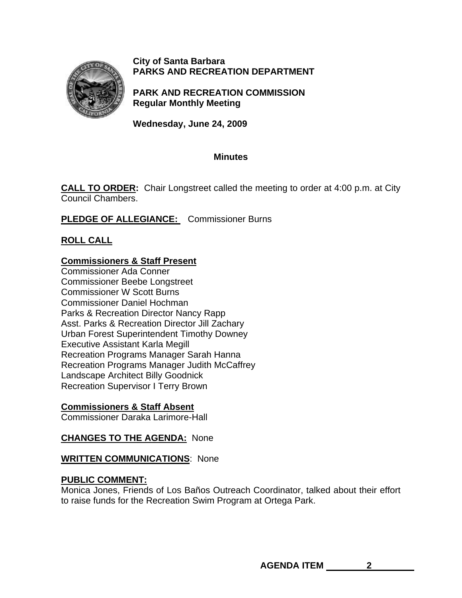

### **City of Santa Barbara PARKS AND RECREATION DEPARTMENT**

**PARK AND RECREATION COMMISSION Regular Monthly Meeting** 

**Wednesday, June 24, 2009** 

### **Minutes**

**CALL TO ORDER:** Chair Longstreet called the meeting to order at 4:00 p.m. at City Council Chambers.

**PLEDGE OF ALLEGIANCE:** Commissioner Burns

# **ROLL CALL**

# **Commissioners & Staff Present**

Commissioner Ada Conner Commissioner Beebe Longstreet Commissioner W Scott Burns Commissioner Daniel Hochman Parks & Recreation Director Nancy Rapp Asst. Parks & Recreation Director Jill Zachary Urban Forest Superintendent Timothy Downey Executive Assistant Karla Megill Recreation Programs Manager Sarah Hanna Recreation Programs Manager Judith McCaffrey Landscape Architect Billy Goodnick Recreation Supervisor I Terry Brown

## **Commissioners & Staff Absent**

Commissioner Daraka Larimore-Hall

## **CHANGES TO THE AGENDA:** None

### **WRITTEN COMMUNICATIONS**: None

## **PUBLIC COMMENT:**

Monica Jones, Friends of Los Baños Outreach Coordinator, talked about their effort to raise funds for the Recreation Swim Program at Ortega Park.

**AGENDA ITEM 2**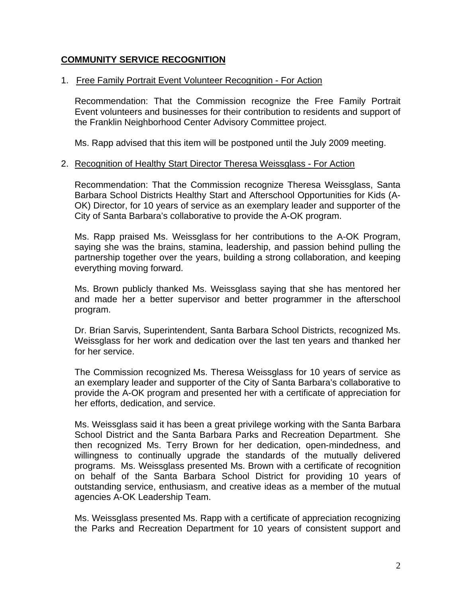### **COMMUNITY SERVICE RECOGNITION**

#### 1. Free Family Portrait Event Volunteer Recognition - For Action

 Recommendation: That the Commission recognize the Free Family Portrait Event volunteers and businesses for their contribution to residents and support of the Franklin Neighborhood Center Advisory Committee project.

Ms. Rapp advised that this item will be postponed until the July 2009 meeting.

#### 2. Recognition of Healthy Start Director Theresa Weissglass - For Action

Recommendation: That the Commission recognize Theresa Weissglass, Santa Barbara School Districts Healthy Start and Afterschool Opportunities for Kids (A-OK) Director, for 10 years of service as an exemplary leader and supporter of the City of Santa Barbara's collaborative to provide the A-OK program.

Ms. Rapp praised Ms. Weissglass for her contributions to the A-OK Program, saying she was the brains, stamina, leadership, and passion behind pulling the partnership together over the years, building a strong collaboration, and keeping everything moving forward.

Ms. Brown publicly thanked Ms. Weissglass saying that she has mentored her and made her a better supervisor and better programmer in the afterschool program.

Dr. Brian Sarvis, Superintendent, Santa Barbara School Districts, recognized Ms. Weissglass for her work and dedication over the last ten years and thanked her for her service.

The Commission recognized Ms. Theresa Weissglass for 10 years of service as an exemplary leader and supporter of the City of Santa Barbara's collaborative to provide the A-OK program and presented her with a certificate of appreciation for her efforts, dedication, and service.

Ms. Weissglass said it has been a great privilege working with the Santa Barbara School District and the Santa Barbara Parks and Recreation Department. She then recognized Ms. Terry Brown for her dedication, open-mindedness, and willingness to continually upgrade the standards of the mutually delivered programs. Ms. Weissglass presented Ms. Brown with a certificate of recognition on behalf of the Santa Barbara School District for providing 10 years of outstanding service, enthusiasm, and creative ideas as a member of the mutual agencies A-OK Leadership Team.

Ms. Weissglass presented Ms. Rapp with a certificate of appreciation recognizing the Parks and Recreation Department for 10 years of consistent support and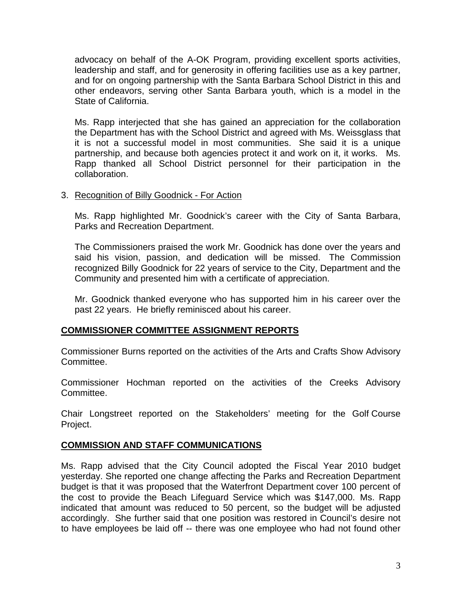advocacy on behalf of the A-OK Program, providing excellent sports activities, leadership and staff, and for generosity in offering facilities use as a key partner, and for on ongoing partnership with the Santa Barbara School District in this and other endeavors, serving other Santa Barbara youth, which is a model in the State of California.

Ms. Rapp interjected that she has gained an appreciation for the collaboration the Department has with the School District and agreed with Ms. Weissglass that it is not a successful model in most communities. She said it is a unique partnership, and because both agencies protect it and work on it, it works. Ms. Rapp thanked all School District personnel for their participation in the collaboration.

### 3. Recognition of Billy Goodnick - For Action

Ms. Rapp highlighted Mr. Goodnick's career with the City of Santa Barbara, Parks and Recreation Department.

The Commissioners praised the work Mr. Goodnick has done over the years and said his vision, passion, and dedication will be missed. The Commission recognized Billy Goodnick for 22 years of service to the City, Department and the Community and presented him with a certificate of appreciation.

Mr. Goodnick thanked everyone who has supported him in his career over the past 22 years. He briefly reminisced about his career.

### **COMMISSIONER COMMITTEE ASSIGNMENT REPORTS**

Commissioner Burns reported on the activities of the Arts and Crafts Show Advisory Committee.

Commissioner Hochman reported on the activities of the Creeks Advisory Committee.

Chair Longstreet reported on the Stakeholders' meeting for the Golf Course Project.

## **COMMISSION AND STAFF COMMUNICATIONS**

Ms. Rapp advised that the City Council adopted the Fiscal Year 2010 budget yesterday. She reported one change affecting the Parks and Recreation Department budget is that it was proposed that the Waterfront Department cover 100 percent of the cost to provide the Beach Lifeguard Service which was \$147,000. Ms. Rapp indicated that amount was reduced to 50 percent, so the budget will be adjusted accordingly. She further said that one position was restored in Council's desire not to have employees be laid off -- there was one employee who had not found other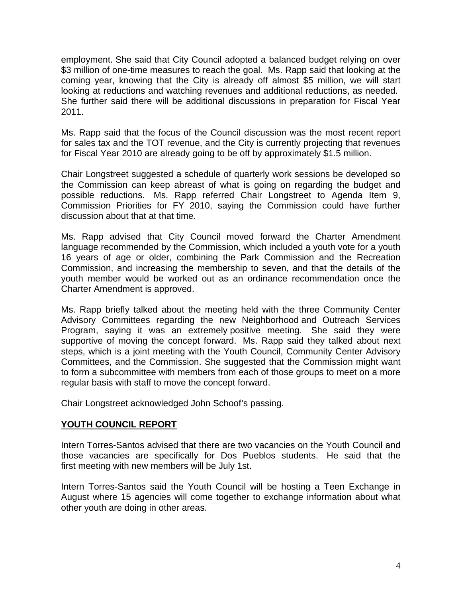employment. She said that City Council adopted a balanced budget relying on over \$3 million of one-time measures to reach the goal. Ms. Rapp said that looking at the coming year, knowing that the City is already off almost \$5 million, we will start looking at reductions and watching revenues and additional reductions, as needed. She further said there will be additional discussions in preparation for Fiscal Year 2011.

Ms. Rapp said that the focus of the Council discussion was the most recent report for sales tax and the TOT revenue, and the City is currently projecting that revenues for Fiscal Year 2010 are already going to be off by approximately \$1.5 million.

Chair Longstreet suggested a schedule of quarterly work sessions be developed so the Commission can keep abreast of what is going on regarding the budget and possible reductions. Ms. Rapp referred Chair Longstreet to Agenda Item 9, Commission Priorities for FY 2010, saying the Commission could have further discussion about that at that time.

Ms. Rapp advised that City Council moved forward the Charter Amendment language recommended by the Commission, which included a youth vote for a youth 16 years of age or older, combining the Park Commission and the Recreation Commission, and increasing the membership to seven, and that the details of the youth member would be worked out as an ordinance recommendation once the Charter Amendment is approved.

Ms. Rapp briefly talked about the meeting held with the three Community Center Advisory Committees regarding the new Neighborhood and Outreach Services Program, saying it was an extremely positive meeting. She said they were supportive of moving the concept forward. Ms. Rapp said they talked about next steps, which is a joint meeting with the Youth Council, Community Center Advisory Committees, and the Commission. She suggested that the Commission might want to form a subcommittee with members from each of those groups to meet on a more regular basis with staff to move the concept forward.

Chair Longstreet acknowledged John Schoof's passing.

### **YOUTH COUNCIL REPORT**

Intern Torres-Santos advised that there are two vacancies on the Youth Council and those vacancies are specifically for Dos Pueblos students. He said that the first meeting with new members will be July 1st.

Intern Torres-Santos said the Youth Council will be hosting a Teen Exchange in August where 15 agencies will come together to exchange information about what other youth are doing in other areas.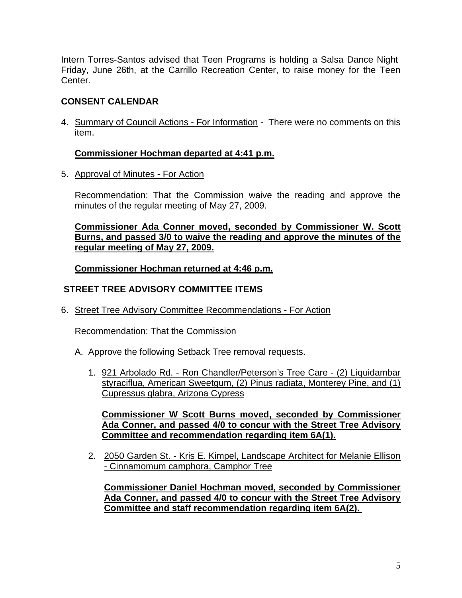Intern Torres-Santos advised that Teen Programs is holding a Salsa Dance Night Friday, June 26th, at the Carrillo Recreation Center, to raise money for the Teen Center.

# **CONSENT CALENDAR**

4. Summary of Council Actions - For Information - There were no comments on this item.

## **Commissioner Hochman departed at 4:41 p.m.**

5. Approval of Minutes - For Action

Recommendation: That the Commission waive the reading and approve the minutes of the regular meeting of May 27, 2009.

**Commissioner Ada Conner moved, seconded by Commissioner W. Scott Burns, and passed 3/0 to waive the reading and approve the minutes of the regular meeting of May 27, 2009.** 

**Commissioner Hochman returned at 4:46 p.m.**

## **STREET TREE ADVISORY COMMITTEE ITEMS**

6. Street Tree Advisory Committee Recommendations - For Action

Recommendation: That the Commission

- A. Approve the following Setback Tree removal requests.
	- 1. 921 Arbolado Rd. Ron Chandler/Peterson's Tree Care (2) Liquidambar styraciflua, American Sweetgum, (2) Pinus radiata, Monterey Pine, and (1) Cupressus glabra, Arizona Cypress

**Commissioner W Scott Burns moved, seconded by Commissioner Ada Conner, and passed 4/0 to concur with the Street Tree Advisory Committee and recommendation regarding item 6A(1).** 

2.2050 Garden St. - Kris E. Kimpel, Landscape Architect for Melanie Ellison - Cinnamomum camphora, Camphor Tree

**Commissioner Daniel Hochman moved, seconded by Commissioner Ada Conner, and passed 4/0 to concur with the Street Tree Advisory Committee and staff recommendation regarding item 6A(2).**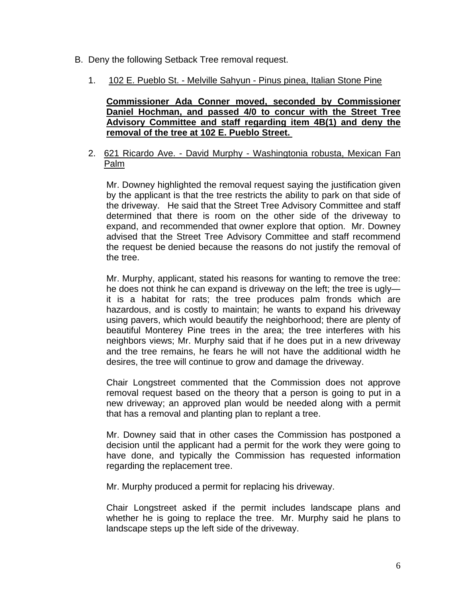- B. Deny the following Setback Tree removal request.
	- 1. 102 E. Pueblo St. Melville Sahyun Pinus pinea, Italian Stone Pine

**Commissioner Ada Conner moved, seconded by Commissioner Daniel Hochman, and passed 4/0 to concur with the Street Tree Advisory Committee and staff regarding item 4B(1) and deny the removal of the tree at 102 E. Pueblo Street.** 

2. 621 Ricardo Ave. - David Murphy - Washingtonia robusta, Mexican Fan Palm

Mr. Downey highlighted the removal request saying the justification given by the applicant is that the tree restricts the ability to park on that side of the driveway. He said that the Street Tree Advisory Committee and staff determined that there is room on the other side of the driveway to expand, and recommended that owner explore that option. Mr. Downey advised that the Street Tree Advisory Committee and staff recommend the request be denied because the reasons do not justify the removal of the tree.

Mr. Murphy, applicant, stated his reasons for wanting to remove the tree: he does not think he can expand is driveway on the left; the tree is ugly it is a habitat for rats; the tree produces palm fronds which are hazardous, and is costly to maintain; he wants to expand his driveway using pavers, which would beautify the neighborhood; there are plenty of beautiful Monterey Pine trees in the area; the tree interferes with his neighbors views; Mr. Murphy said that if he does put in a new driveway and the tree remains, he fears he will not have the additional width he desires, the tree will continue to grow and damage the driveway.

Chair Longstreet commented that the Commission does not approve removal request based on the theory that a person is going to put in a new driveway; an approved plan would be needed along with a permit that has a removal and planting plan to replant a tree.

Mr. Downey said that in other cases the Commission has postponed a decision until the applicant had a permit for the work they were going to have done, and typically the Commission has requested information regarding the replacement tree.

Mr. Murphy produced a permit for replacing his driveway.

Chair Longstreet asked if the permit includes landscape plans and whether he is going to replace the tree. Mr. Murphy said he plans to landscape steps up the left side of the driveway.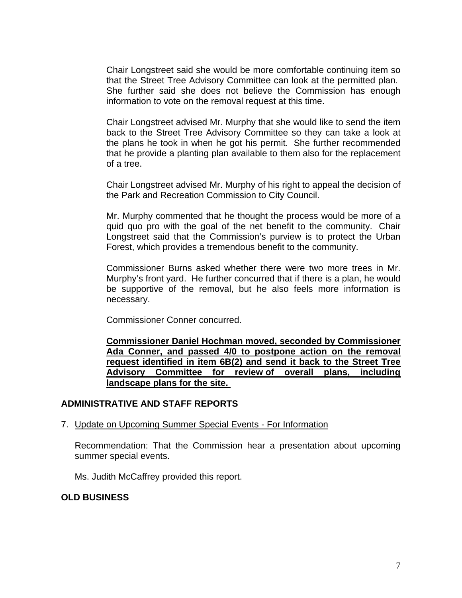Chair Longstreet said she would be more comfortable continuing item so that the Street Tree Advisory Committee can look at the permitted plan. She further said she does not believe the Commission has enough information to vote on the removal request at this time.

Chair Longstreet advised Mr. Murphy that she would like to send the item back to the Street Tree Advisory Committee so they can take a look at the plans he took in when he got his permit. She further recommended that he provide a planting plan available to them also for the replacement of a tree.

Chair Longstreet advised Mr. Murphy of his right to appeal the decision of the Park and Recreation Commission to City Council.

Mr. Murphy commented that he thought the process would be more of a quid quo pro with the goal of the net benefit to the community. Chair Longstreet said that the Commission's purview is to protect the Urban Forest, which provides a tremendous benefit to the community.

Commissioner Burns asked whether there were two more trees in Mr. Murphy's front yard. He further concurred that if there is a plan, he would be supportive of the removal, but he also feels more information is necessary.

Commissioner Conner concurred.

**Commissioner Daniel Hochman moved, seconded by Commissioner Ada Conner, and passed 4/0 to postpone action on the removal request identified in item 6B(2) and send it back to the Street Tree Advisory Committee for review of overall plans, including landscape plans for the site.** 

### **ADMINISTRATIVE AND STAFF REPORTS**

7. Update on Upcoming Summer Special Events - For Information

Recommendation: That the Commission hear a presentation about upcoming summer special events.

Ms. Judith McCaffrey provided this report.

### **OLD BUSINESS**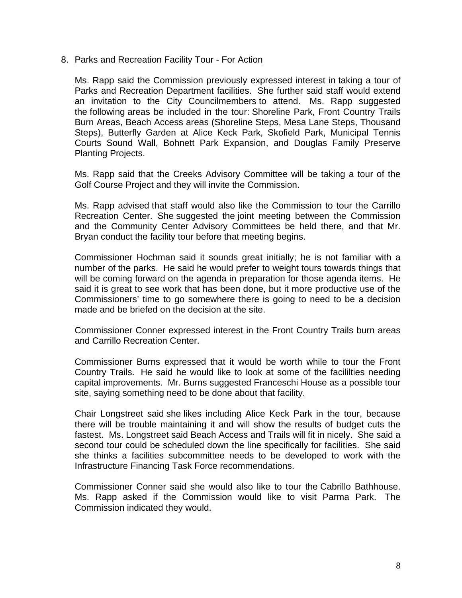#### 8. Parks and Recreation Facility Tour - For Action

Ms. Rapp said the Commission previously expressed interest in taking a tour of Parks and Recreation Department facilities. She further said staff would extend an invitation to the City Councilmembers to attend. Ms. Rapp suggested the following areas be included in the tour: Shoreline Park, Front Country Trails Burn Areas, Beach Access areas (Shoreline Steps, Mesa Lane Steps, Thousand Steps), Butterfly Garden at Alice Keck Park, Skofield Park, Municipal Tennis Courts Sound Wall, Bohnett Park Expansion, and Douglas Family Preserve Planting Projects.

Ms. Rapp said that the Creeks Advisory Committee will be taking a tour of the Golf Course Project and they will invite the Commission.

Ms. Rapp advised that staff would also like the Commission to tour the Carrillo Recreation Center. She suggested the joint meeting between the Commission and the Community Center Advisory Committees be held there, and that Mr. Bryan conduct the facility tour before that meeting begins.

Commissioner Hochman said it sounds great initially; he is not familiar with a number of the parks. He said he would prefer to weight tours towards things that will be coming forward on the agenda in preparation for those agenda items. He said it is great to see work that has been done, but it more productive use of the Commissioners' time to go somewhere there is going to need to be a decision made and be briefed on the decision at the site.

Commissioner Conner expressed interest in the Front Country Trails burn areas and Carrillo Recreation Center.

Commissioner Burns expressed that it would be worth while to tour the Front Country Trails. He said he would like to look at some of the facililties needing capital improvements. Mr. Burns suggested Franceschi House as a possible tour site, saying something need to be done about that facility.

Chair Longstreet said she likes including Alice Keck Park in the tour, because there will be trouble maintaining it and will show the results of budget cuts the fastest. Ms. Longstreet said Beach Access and Trails will fit in nicely. She said a second tour could be scheduled down the line specifically for facilities. She said she thinks a facilities subcommittee needs to be developed to work with the Infrastructure Financing Task Force recommendations.

Commissioner Conner said she would also like to tour the Cabrillo Bathhouse. Ms. Rapp asked if the Commission would like to visit Parma Park. The Commission indicated they would.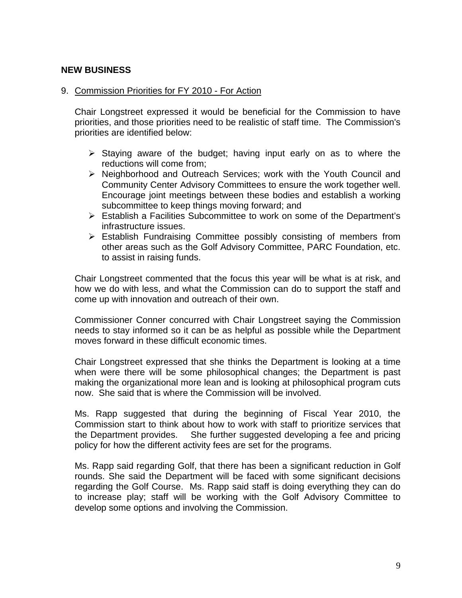### **NEW BUSINESS**

#### 9. Commission Priorities for FY 2010 - For Action

Chair Longstreet expressed it would be beneficial for the Commission to have priorities, and those priorities need to be realistic of staff time. The Commission's priorities are identified below:

- $\triangleright$  Staying aware of the budget; having input early on as to where the reductions will come from;
- ¾ Neighborhood and Outreach Services; work with the Youth Council and Community Center Advisory Committees to ensure the work together well. Encourage joint meetings between these bodies and establish a working subcommittee to keep things moving forward; and
- ¾ Establish a Facilities Subcommittee to work on some of the Department's infrastructure issues.
- $\triangleright$  Establish Fundraising Committee possibly consisting of members from other areas such as the Golf Advisory Committee, PARC Foundation, etc. to assist in raising funds.

Chair Longstreet commented that the focus this year will be what is at risk, and how we do with less, and what the Commission can do to support the staff and come up with innovation and outreach of their own.

Commissioner Conner concurred with Chair Longstreet saying the Commission needs to stay informed so it can be as helpful as possible while the Department moves forward in these difficult economic times.

Chair Longstreet expressed that she thinks the Department is looking at a time when were there will be some philosophical changes; the Department is past making the organizational more lean and is looking at philosophical program cuts now. She said that is where the Commission will be involved.

Ms. Rapp suggested that during the beginning of Fiscal Year 2010, the Commission start to think about how to work with staff to prioritize services that the Department provides. She further suggested developing a fee and pricing policy for how the different activity fees are set for the programs.

Ms. Rapp said regarding Golf, that there has been a significant reduction in Golf rounds. She said the Department will be faced with some significant decisions regarding the Golf Course. Ms. Rapp said staff is doing everything they can do to increase play; staff will be working with the Golf Advisory Committee to develop some options and involving the Commission.